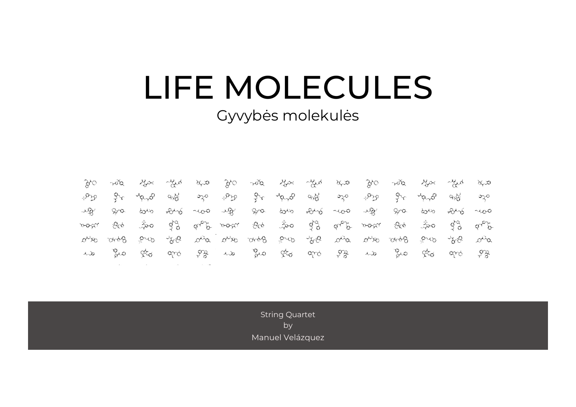# LIFE MOLECULES Gyvybės molekulės

|  |  |  | and with rest also and any with any stor and any with rest and the ortho   |  |  |  |  |
|--|--|--|----------------------------------------------------------------------------|--|--|--|--|
|  |  |  | یک بھی تھی جات ہوتا۔ میں بھی تھی کہ بھی کہ بھی تھی تھی ہوتا۔               |  |  |  |  |
|  |  |  | ugy gra bolo solid neo ugy gra bolo solid neo ugy gra bolo solid neo       |  |  |  |  |
|  |  |  | هممد هره عثمه واقع مرمهج ممعد هره عبهم واقع مرمهج ممعد هره عبهم واقع مرمهج |  |  |  |  |
|  |  |  | aha Bz ang bino aha ang bar ang pano ang ang ang bino ang                  |  |  |  |  |
|  |  |  | wo gio gia ano giz wo gio gia ano giz wo gio gia ano giz                   |  |  |  |  |

String Quartet by Manuel Velázquez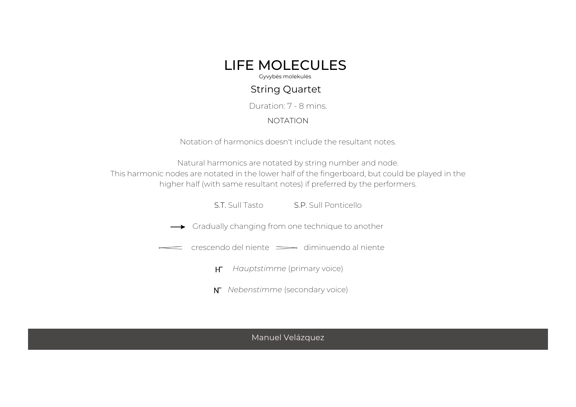

Gyvybės molekulės

## String Quartet

Duration: 7 - 8 mins.

#### NOTATION

Notation of harmonics doesn't include the resultant notes.

Natural harmonics are notated by string number and node. This harmonic nodes are notated in the lower half of the fingerboard, but could be played in the higher half (with same resultant notes) if preferred by the performers.

S.T. Sull Tasto S.P. Sull Ponticello

- $\rightarrow$  Gradually changing from one technique to another
- $\equiv$  crescendo del niente  $\equiv$  diminuendo al niente
	- *Hauptstimme* (primary voice)
	- *Nebenstimme* (secondary voice)

#### Manuel Velázquez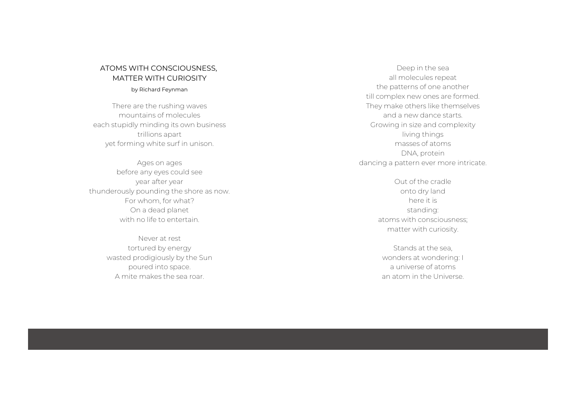### ATOMS WITH CONSCIOUSNESS, MATTER WITH CURIOSITY

#### by Richard Feynman

There are the rushing waves mountains of molecules each stupidly minding its own business trillions apart yet forming white surf in unison .

Ages on ages before any eyes could see year after year thunderously pounding the shore as now . For whom, for what? , On a dead planet with no life to entertain .

> Never at rest tortured by energy wasted prodigiously by the Sun poured into space . A mite makes the sea roar .

Deep in the sea all molecules repeat the patterns of one another till complex new ones are formed . They make others like themselves and a new dance starts . Growing in size and complexity living things masses of atoms DNA, protein , dancing a pattern ever more intricate .

> Out of the cradle onto dry land here it is standing : atoms with consciousness ; matter with curiosity .

Stands at the sea , wonders at wondering: I : a universe of atoms an atom in the Universe .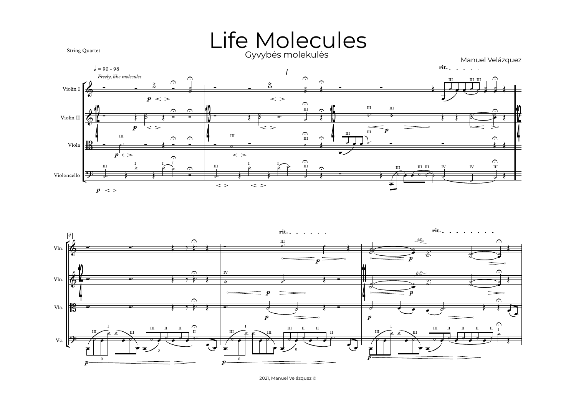

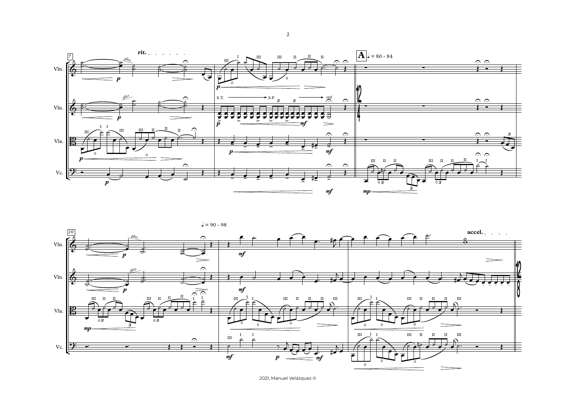

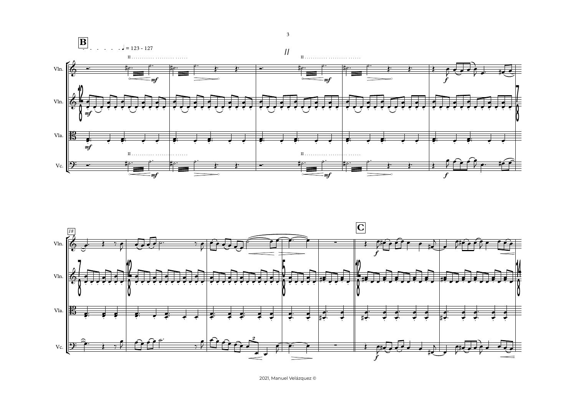

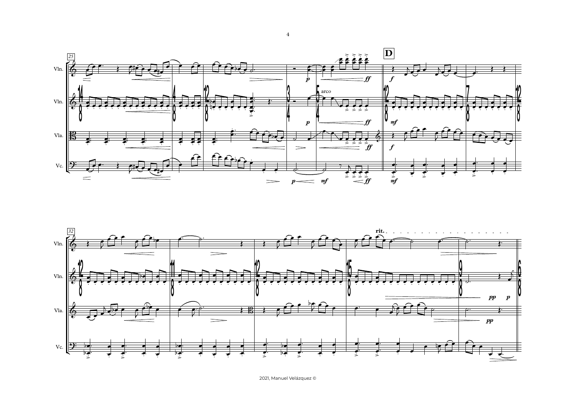



 $\overline{4}$ 

2021, Manuel Velázquez ©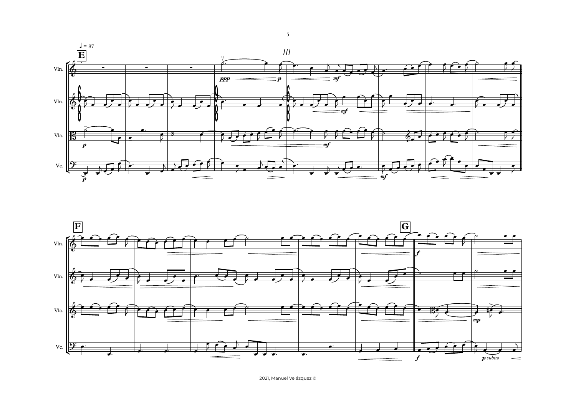



 $\overline{5}$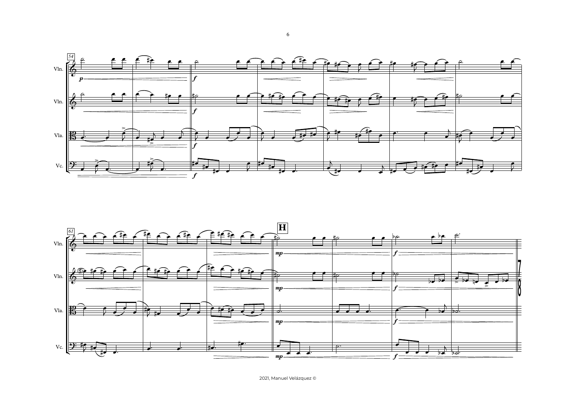



 $6\phantom{.}6$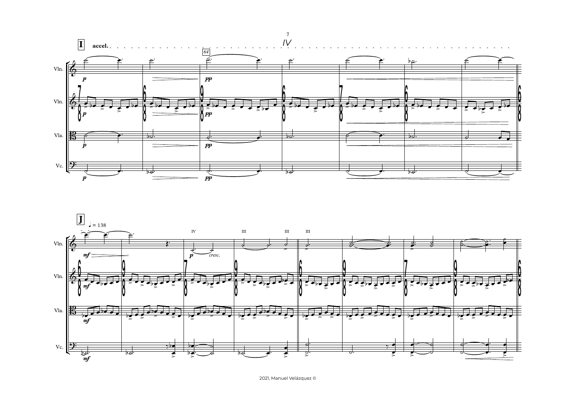

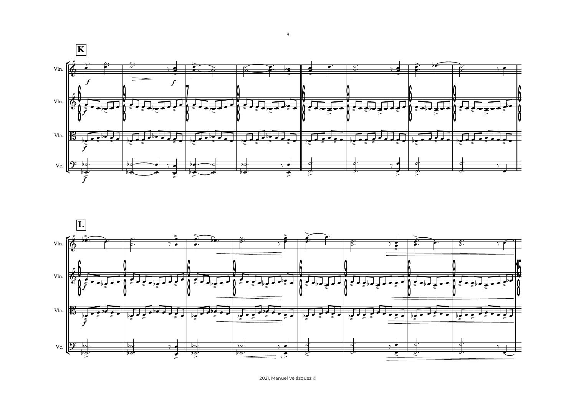



 $8\phantom{.0}$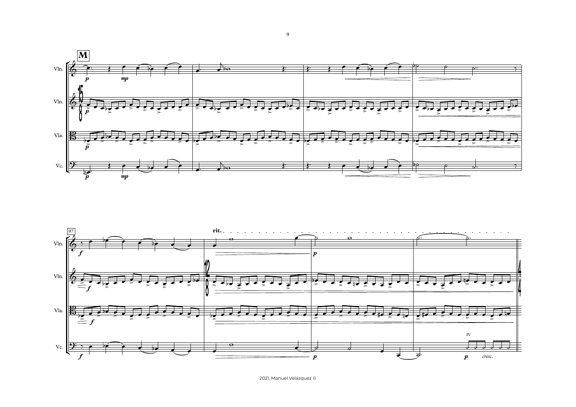



 $\overline{9}$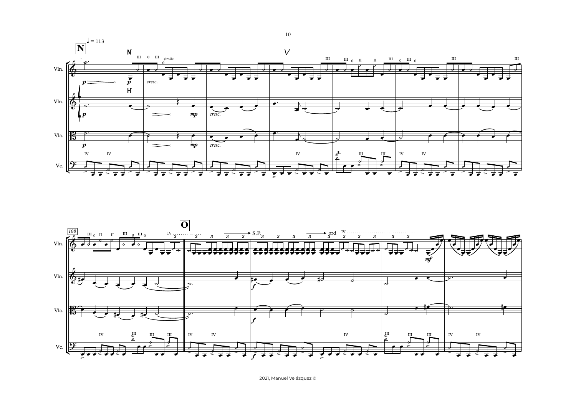

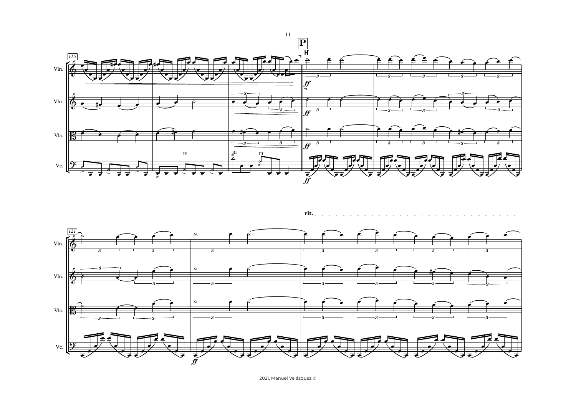

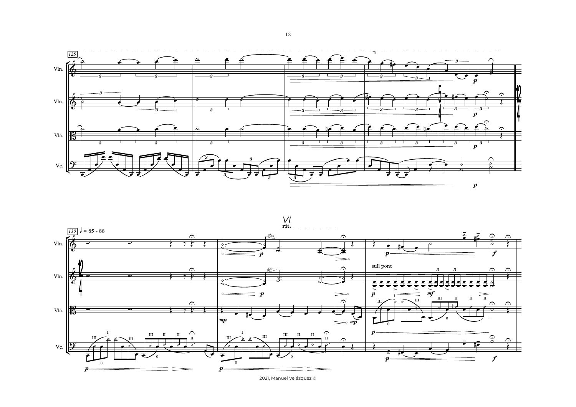



 $12\,$